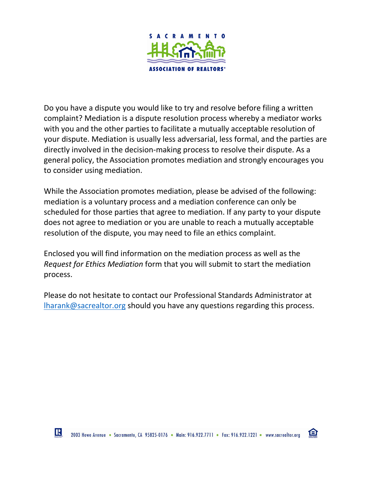

Do you have a dispute you would like to try and resolve before filing a written complaint? Mediation is a dispute resolution process whereby a mediator works with you and the other parties to facilitate a mutually acceptable resolution of your dispute. Mediation is usually less adversarial, less formal, and the parties are directly involved in the decision-making process to resolve their dispute. As a general policy, the Association promotes mediation and strongly encourages you to consider using mediation.

While the Association promotes mediation, please be advised of the following: mediation is a voluntary process and a mediation conference can only be scheduled for those parties that agree to mediation. If any party to your dispute does not agree to mediation or you are unable to reach a mutually acceptable resolution of the dispute, you may need to file an ethics complaint.

Enclosed you will find information on the mediation process as well as the *Request for Ethics Mediation* form that you will submit to start the mediation process.

Please do not hesitate to contact our Professional Standards Administrator at [lharank@sacrealtor.org](mailto:lharank@sacrealtor.org) should you have any questions regarding this process.

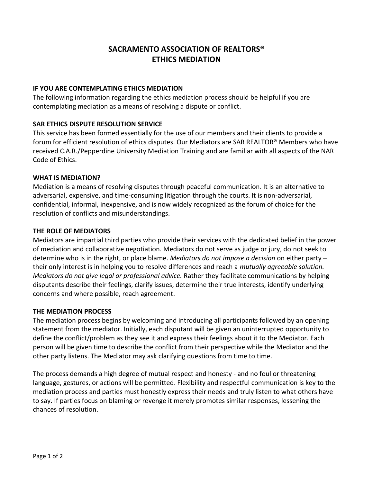# **SACRAMENTO ASSOCIATION OF REALTORS® ETHICS MEDIATION**

### **IF YOU ARE CONTEMPLATING ETHICS MEDIATION**

The following information regarding the ethics mediation process should be helpful if you are contemplating mediation as a means of resolving a dispute or conflict.

## **SAR ETHICS DISPUTE RESOLUTION SERVICE**

This service has been formed essentially for the use of our members and their clients to provide a forum for efficient resolution of ethics disputes. Our Mediators are SAR REALTOR® Members who have received C.A.R./Pepperdine University Mediation Training and are familiar with all aspects of the NAR Code of Ethics.

#### **WHAT IS MEDIATION?**

Mediation is a means of resolving disputes through peaceful communication. It is an alternative to adversarial, expensive, and time-consuming litigation through the courts. It is non-adversarial, confidential, informal, inexpensive, and is now widely recognized as the forum of choice for the resolution of conflicts and misunderstandings.

#### **THE ROLE OF MEDIATORS**

Mediators are impartial third parties who provide their services with the dedicated belief in the power of mediation and collaborative negotiation. Mediators do not serve as judge or jury, do not seek to determine who is in the right, or place blame. *Mediators do not impose a decision* on either party – their only interest is in helping you to resolve differences and reach a *mutually agreeable solution. Mediators do not give legal or professional advice.* Rather they facilitate communications by helping disputants describe their feelings, clarify issues, determine their true interests, identify underlying concerns and where possible, reach agreement.

#### **THE MEDIATION PROCESS**

The mediation process begins by welcoming and introducing all participants followed by an opening statement from the mediator. Initially, each disputant will be given an uninterrupted opportunity to define the conflict/problem as they see it and express their feelings about it to the Mediator. Each person will be given time to describe the conflict from their perspective while the Mediator and the other party listens. The Mediator may ask clarifying questions from time to time.

The process demands a high degree of mutual respect and honesty - and no foul or threatening language, gestures, or actions will be permitted. Flexibility and respectful communication is key to the mediation process and parties must honestly express their needs and truly listen to what others have to say. If parties focus on blaming or revenge it merely promotes similar responses, lessening the chances of resolution.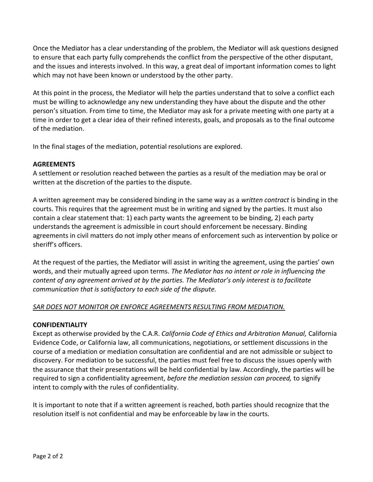Once the Mediator has a clear understanding of the problem, the Mediator will ask questions designed to ensure that each party fully comprehends the conflict from the perspective of the other disputant, and the issues and interests involved. In this way, a great deal of important information comes to light which may not have been known or understood by the other party.

At this point in the process, the Mediator will help the parties understand that to solve a conflict each must be willing to acknowledge any new understanding they have about the dispute and the other person's situation. From time to time, the Mediator may ask for a private meeting with one party at a time in order to get a clear idea of their refined interests, goals, and proposals as to the final outcome of the mediation.

In the final stages of the mediation, potential resolutions are explored.

#### **AGREEMENTS**

A settlement or resolution reached between the parties as a result of the mediation may be oral or written at the discretion of the parties to the dispute.

A written agreement may be considered binding in the same way as a *written contract* is binding in the courts. This requires that the agreement must be in writing and signed by the parties. It must also contain a clear statement that: 1) each party wants the agreement to be binding, 2) each party understands the agreement is admissible in court should enforcement be necessary. Binding agreements in civil matters do not imply other means of enforcement such as intervention by police or sheriff's officers.

At the request of the parties, the Mediator will assist in writing the agreement, using the parties' own words, and their mutually agreed upon terms. *The Mediator has no intent or role in influencing the content of any agreement arrived at by the parties. The Mediator's only interest is to facilitate communication that is satisfactory to each side of the dispute.*

#### *SAR DOES NOT MONITOR OR ENFORCE AGREEMENTS RESULTING FROM MEDIATION.*

#### **CONFIDENTIALITY**

Except as otherwise provided by the C.A.R. *California Code of Ethics and Arbitration Manual,* California Evidence Code, or California law, all communications, negotiations, or settlement discussions in the course of a mediation or mediation consultation are confidential and are not admissible or subject to discovery. For mediation to be successful, the parties must feel free to discuss the issues openly with the assurance that their presentations will be held confidential by law. Accordingly, the parties will be required to sign a confidentiality agreement, *before the mediation session can proceed,* to signify intent to comply with the rules of confidentiality.

It is important to note that if a written agreement is reached, both parties should recognize that the resolution itself is not confidential and may be enforceable by law in the courts.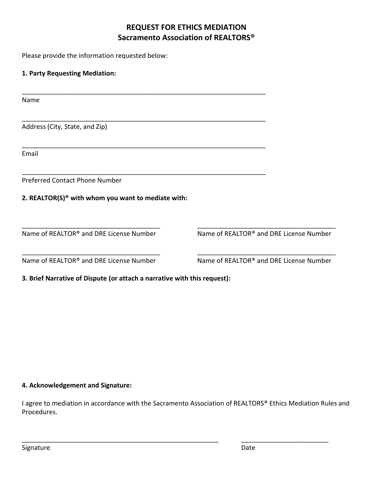# **REQUEST FOR ETHICS MEDIATION Sacramento Association of REALTORS®**

Please provide the information requested below:

## **1. Party Requesting Mediation:**

Name

Address (City, State, and Zip)

Email

Preferred Contact Phone Number

#### **2. REALTOR(S)® with whom you want to mediate with:**

Name of REALTOR<sup>®</sup> and DRE License Number Name of REALTOR<sup>®</sup> and DRE License Number

Name of REALTOR<sup>®</sup> and DRE License Number Name of REALTOR<sup>®</sup> and DRE License Number

**3. Brief Narrative of Dispute (or attach a narrative with this request):**

\_\_\_\_\_\_\_\_\_\_\_\_\_\_\_\_\_\_\_\_\_\_\_\_\_\_\_\_\_\_\_\_\_\_\_\_\_\_\_\_\_\_\_\_\_\_\_\_\_\_\_\_\_\_\_\_\_\_\_\_\_\_\_\_\_\_\_

\_\_\_\_\_\_\_\_\_\_\_\_\_\_\_\_\_\_\_\_\_\_\_\_\_\_\_\_\_\_\_\_\_\_\_\_\_\_\_\_\_\_\_\_\_\_\_\_\_\_\_\_\_\_\_\_\_\_\_\_\_\_\_\_\_\_\_

\_\_\_\_\_\_\_\_\_\_\_\_\_\_\_\_\_\_\_\_\_\_\_\_\_\_\_\_\_\_\_\_\_\_\_\_\_\_\_\_\_\_\_\_\_\_\_\_\_\_\_\_\_\_\_\_\_\_\_\_\_\_\_\_\_\_\_

\_\_\_\_\_\_\_\_\_\_\_\_\_\_\_\_\_\_\_\_\_\_\_\_\_\_\_\_\_\_\_\_\_\_\_\_\_\_\_\_\_\_\_\_\_\_\_\_\_\_\_\_\_\_\_\_\_\_\_\_\_\_\_\_\_\_\_

#### **4. Acknowledgement and Signature:**

I agree to mediation in accordance with the Sacramento Association of REALTORS® Ethics Mediation Rules and Procedures.

\_\_\_\_\_\_\_\_\_\_\_\_\_\_\_\_\_\_\_\_\_\_\_\_\_\_\_\_\_\_\_\_\_\_\_\_\_\_\_\_\_\_\_\_\_\_\_\_\_\_\_\_\_\_ \_\_\_\_\_\_\_\_\_\_\_\_\_\_\_\_\_\_\_\_\_\_\_\_

\_\_\_\_\_\_\_\_\_\_\_\_\_\_\_\_\_\_\_\_\_\_\_\_\_\_\_\_\_\_\_\_\_\_\_\_\_\_ \_\_\_\_\_\_\_\_\_\_\_\_\_\_\_\_\_\_\_\_\_\_\_\_\_\_\_\_\_\_\_\_\_\_\_\_\_\_

\_\_\_\_\_\_\_\_\_\_\_\_\_\_\_\_\_\_\_\_\_\_\_\_\_\_\_\_\_\_\_\_\_\_\_\_\_\_ \_\_\_\_\_\_\_\_\_\_\_\_\_\_\_\_\_\_\_\_\_\_\_\_\_\_\_\_\_\_\_\_\_\_\_\_\_\_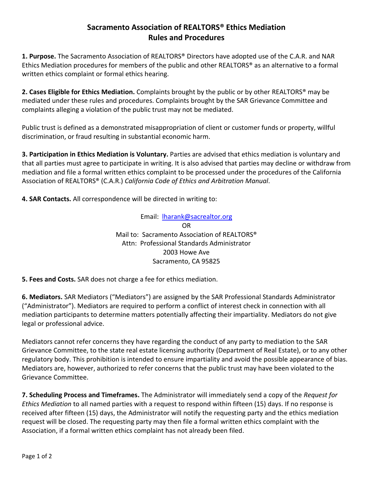## **Sacramento Association of REALTORS® Ethics Mediation Rules and Procedures**

**1. Purpose.** The Sacramento Association of REALTORS® Directors have adopted use of the C.A.R. and NAR Ethics Mediation procedures for members of the public and other REALTORS® as an alternative to a formal written ethics complaint or formal ethics hearing.

**2. Cases Eligible for Ethics Mediation.** Complaints brought by the public or by other REALTORS® may be mediated under these rules and procedures. Complaints brought by the SAR Grievance Committee and complaints alleging a violation of the public trust may not be mediated.

Public trust is defined as a demonstrated misappropriation of client or customer funds or property, willful discrimination, or fraud resulting in substantial economic harm.

**3. Participation in Ethics Mediation is Voluntary.** Parties are advised that ethics mediation is voluntary and that all parties must agree to participate in writing. It is also advised that parties may decline or withdraw from mediation and file a formal written ethics complaint to be processed under the procedures of the California Association of REALTORS® (C.A.R.) *California Code of Ethics and Arbitration Manual*.

**4. SAR Contacts.** All correspondence will be directed in writing to:

Email: [lharank@sacrealtor.org](mailto:lharank@sacrealtor.org) OR Mail to: Sacramento Association of REALTORS® Attn: Professional Standards Administrator 2003 Howe Ave Sacramento, CA 95825

**5. Fees and Costs.** SAR does not charge a fee for ethics mediation.

**6. Mediators.** SAR Mediators ("Mediators") are assigned by the SAR Professional Standards Administrator ("Administrator"). Mediators are required to perform a conflict of interest check in connection with all mediation participants to determine matters potentially affecting their impartiality. Mediators do not give legal or professional advice.

Mediators cannot refer concerns they have regarding the conduct of any party to mediation to the SAR Grievance Committee, to the state real estate licensing authority (Department of Real Estate), or to any other regulatory body. This prohibition is intended to ensure impartiality and avoid the possible appearance of bias. Mediators are, however, authorized to refer concerns that the public trust may have been violated to the Grievance Committee.

**7. Scheduling Process and Timeframes.** The Administrator will immediately send a copy of the *Request for Ethics Mediation* to all named parties with a request to respond within fifteen (15) days. If no response is received after fifteen (15) days, the Administrator will notify the requesting party and the ethics mediation request will be closed. The requesting party may then file a formal written ethics complaint with the Association, if a formal written ethics complaint has not already been filed.